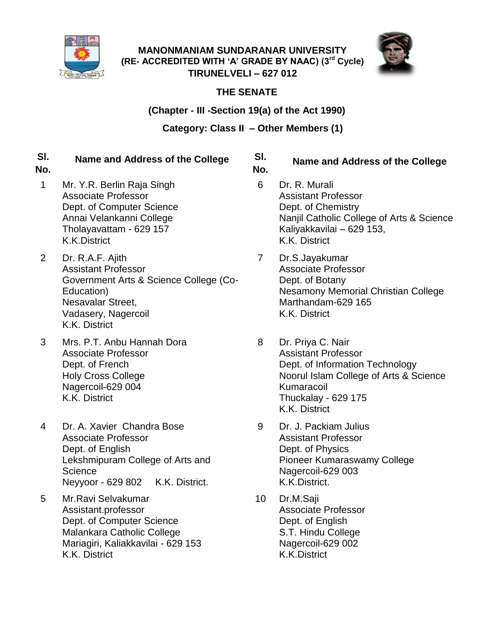

**MANONMANIAM SUNDARANAR UNIVERSITY (RE- ACCREDITED WITH 'A' GRADE BY NAAC) (3rd Cycle) TIRUNELVELI – 627 012**



# **THE SENATE**

# **(Chapter - III -Section 19(a) of the Act 1990)**

## **Category: Class II – Other Members (1)**

#### **Sl. Name and Address of the College Sl. (1) ONE MEMBER ELECTED BY TEACHERS OF EACH AFFILIATED COLLEGE**

**No.**

- 1 Mr. Y.R. Berlin Raja Singh Associate Professor Dept. of Computer Science Annai Velankanni College Tholayavattam - 629 157 K.K.District
- 2 Dr. R.A.F. Ajith Assistant Professor Government Arts & Science College (Co-Education) Nesavalar Street, Vadasery, Nagercoil K.K. District
- 3 Mrs. P.T. Anbu Hannah Dora Associate Professor Dept. of French Holy Cross College Nagercoil-629 004 K.K. District
- 4 Dr. A. Xavier Chandra Bose Associate Professor Dept. of English Lekshmipuram College of Arts and **Science** Neyyoor - 629 802 K.K. District.
- 5 Mr.Ravi Selvakumar Assistant.professor Dept. of Computer Science Malankara Catholic College Mariagiri, Kaliakkavilai - 629 153 K.K. District

### **No. Name and Address of the College**

- 6 Dr. R. Murali Assistant Professor Dept. of Chemistry Nanjil Catholic College of Arts & Science Kaliyakkavilai – 629 153, K.K. District
- 7 Dr.S.Jayakumar Associate Professor Dept. of Botany Nesamony Memorial Christian College Marthandam-629 165 K.K. District
- 8 Dr. Priya C. Nair Assistant Professor Dept. of Information Technology Noorul Islam College of Arts & Science Kumaracoil Thuckalay - 629 175 K.K. District
- 9 Dr. J. Packiam Julius Assistant Professor Dept. of Physics Pioneer Kumaraswamy College Nagercoil-629 003 K.K.District.
- 10 Dr.M.Saji Associate Professor Dept. of English S.T. Hindu College Nagercoil-629 002 K.K.District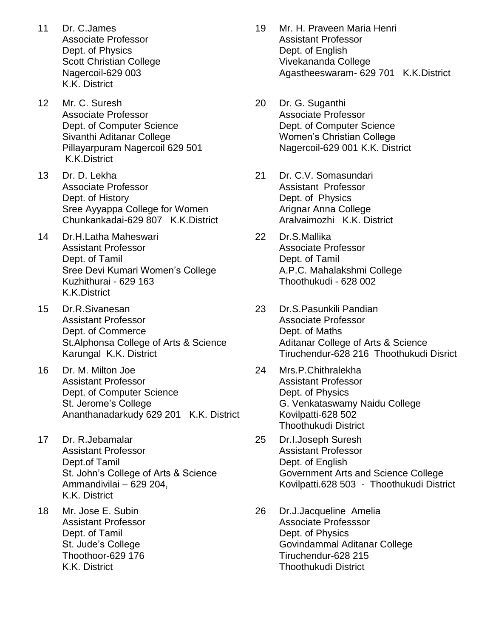- 11 Dr. C.James Associate Professor Dept. of Physics Scott Christian College Nagercoil-629 003 K.K. District
- 12 Mr. C. Suresh Associate Professor Dept. of Computer Science Sivanthi Aditanar College Pillayarpuram Nagercoil 629 501 K.K.District
- 13 Dr. D. Lekha Associate Professor Dept. of History Sree Ayyappa College for Women Chunkankadai-629 807 K.K.District
- 14 Dr.H.Latha Maheswari Assistant Professor Dept. of Tamil Sree Devi Kumari Women's College Kuzhithurai - 629 163 K.K.District
- 15 Dr.R.Sivanesan Assistant Professor Dept. of Commerce St.Alphonsa College of Arts & Science Karungal K.K. District
- 16 Dr. M. Milton Joe Assistant Professor Dept. of Computer Science St. Jerome's College Ananthanadarkudy 629 201 K.K. District
- 17 Dr. R.Jebamalar Assistant Professor Dept.of Tamil St. John's College of Arts & Science Ammandivilai – 629 204, K.K. District
- 18 Mr. Jose E. Subin Assistant Professor Dept. of Tamil St. Jude's College Thoothoor-629 176 K.K. District
- 19 Mr. H. Praveen Maria Henri Assistant Professor Dept. of English Vivekananda College Agastheeswaram- 629 701 K.K.District
- 20 Dr. G. Suganthi Associate Professor Dept. of Computer Science Women's Christian College Nagercoil-629 001 K.K. District
- 21 Dr. C.V. Somasundari Assistant Professor Dept. of Physics Arignar Anna College Aralvaimozhi K.K. District
- 22 Dr.S.Mallika Associate Professor Dept. of Tamil A.P.C. Mahalakshmi College Thoothukudi - 628 002
- 23 Dr.S.Pasunkili Pandian Associate Professor Dept. of Maths Aditanar College of Arts & Science Tiruchendur-628 216 Thoothukudi Disrict
- 24 Mrs.P.Chithralekha Assistant Professor Dept. of Physics G. Venkataswamy Naidu College Kovilpatti-628 502 Thoothukudi District
- 25 Dr.I.Joseph Suresh Assistant Professor Dept. of English Government Arts and Science College Kovilpatti.628 503 - Thoothukudi District
- 26 Dr.J.Jacqueline Amelia Associate Professsor Dept. of Physics Govindammal Aditanar College Tiruchendur-628 215 Thoothukudi District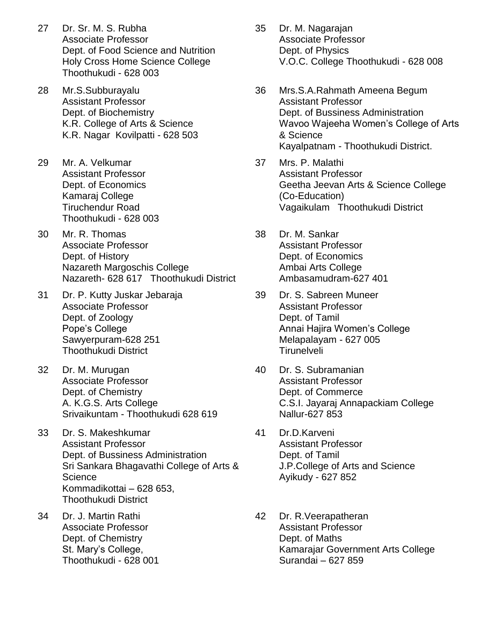- 27 Dr. Sr. M. S. Rubha Associate Professor Dept. of Food Science and Nutrition Holy Cross Home Science College Thoothukudi - 628 003
- 28 Mr.S.Subburayalu Assistant Professor Dept. of Biochemistry K.R. College of Arts & Science K.R. Nagar Kovilpatti - 628 503
- 29 Mr. A. Velkumar Assistant Professor Dept. of Economics Kamaraj College Tiruchendur Road Thoothukudi - 628 003
- 30 Mr. R. Thomas Associate Professor Dept. of History Nazareth Margoschis College Nazareth- 628 617 Thoothukudi District
- 31 Dr. P. Kutty Juskar Jebaraja Associate Professor Dept. of Zoology Pope's College Sawyerpuram-628 251 Thoothukudi District
- 32 Dr. M. Murugan Associate Professor Dept. of Chemistry A. K.G.S. Arts College Srivaikuntam - Thoothukudi 628 619
- 33 Dr. S. Makeshkumar Assistant Professor Dept. of Bussiness Administration Sri Sankara Bhagavathi College of Arts & **Science** Kommadikottai – 628 653, Thoothukudi District
- 34 Dr. J. Martin Rathi Associate Professor Dept. of Chemistry St. Mary's College, Thoothukudi - 628 001
- 35 Dr. M. Nagarajan Associate Professor Dept. of Physics V.O.C. College Thoothukudi - 628 008
- 36 Mrs.S.A.Rahmath Ameena Begum Assistant Professor Dept. of Bussiness Administration Wavoo Wajeeha Women's College of Arts & Science Kayalpatnam - Thoothukudi District.
- 37 Mrs. P. Malathi Assistant Professor Geetha Jeevan Arts & Science College (Co-Education) Vagaikulam Thoothukudi District
- 38 Dr. M. Sankar Assistant Professor Dept. of Economics Ambai Arts College Ambasamudram-627 401
- 39 Dr. S. Sabreen Muneer Assistant Professor Dept. of Tamil Annai Hajira Women's College Melapalayam - 627 005 **Tirunelveli**
- 40 Dr. S. Subramanian Assistant Professor Dept. of Commerce C.S.I. Jayaraj Annapackiam College Nallur-627 853
- 41 Dr.D.Karveni Assistant Professor Dept. of Tamil J.P.College of Arts and Science Ayikudy - 627 852
- 42 Dr. R.Veerapatheran Assistant Professor Dept. of Maths Kamarajar Government Arts College Surandai – 627 859